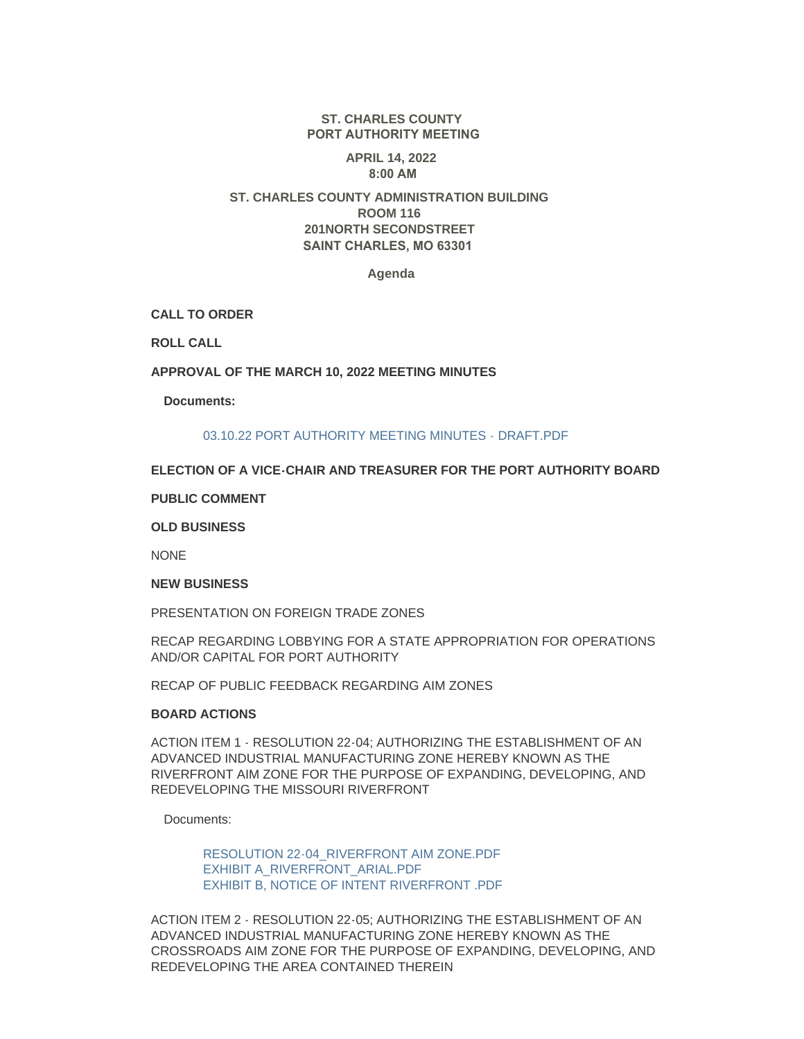# **ST. CHARLES COUNTY PORT AUTHORITY MEETING**

#### **APRIL 14, 2022 8:00 AM**

# **ST. CHARLES COUNTY ADMINISTRATION BUILDING ROOM 116 201NORTH SECONDSTREET SAINT CHARLES, MO 63301**

#### **Agenda**

**CALL TO ORDER**

**ROLL CALL**

## **APPROVAL OF THE MARCH 10, 2022 MEETING MINUTES**

**Documents:**

## [03.10.22 PORT AUTHORITY MEETING MINUTES - DRAFT.PDF](https://www.sccmo.org/AgendaCenter/ViewFile/Item/10827?fileID=31958)

## **ELECTION OF A VICE-CHAIR AND TREASURER FOR THE PORT AUTHORITY BOARD**

## **PUBLIC COMMENT**

#### **OLD BUSINESS**

**NONE** 

#### **NEW BUSINESS**

PRESENTATION ON FOREIGN TRADE ZONES

RECAP REGARDING LOBBYING FOR A STATE APPROPRIATION FOR OPERATIONS AND/OR CAPITAL FOR PORT AUTHORITY

RECAP OF PUBLIC FEEDBACK REGARDING AIM ZONES

## **BOARD ACTIONS**

ACTION ITEM 1 - RESOLUTION 22-04; AUTHORIZING THE ESTABLISHMENT OF AN ADVANCED INDUSTRIAL MANUFACTURING ZONE HEREBY KNOWN AS THE RIVERFRONT AIM ZONE FOR THE PURPOSE OF EXPANDING, DEVELOPING, AND REDEVELOPING THE MISSOURI RIVERFRONT

Documents:

[RESOLUTION 22-04\\_RIVERFRONT AIM ZONE.PDF](https://www.sccmo.org/AgendaCenter/ViewFile/Item/10824?fileID=31962) [EXHIBIT A\\_RIVERFRONT\\_ARIAL.PDF](https://www.sccmo.org/AgendaCenter/ViewFile/Item/10824?fileID=31963) [EXHIBIT B, NOTICE OF INTENT RIVERFRONT .PDF](https://www.sccmo.org/AgendaCenter/ViewFile/Item/10824?fileID=31964)

ACTION ITEM 2 - RESOLUTION 22-05; AUTHORIZING THE ESTABLISHMENT OF AN ADVANCED INDUSTRIAL MANUFACTURING ZONE HEREBY KNOWN AS THE CROSSROADS AIM ZONE FOR THE PURPOSE OF EXPANDING, DEVELOPING, AND REDEVELOPING THE AREA CONTAINED THEREIN